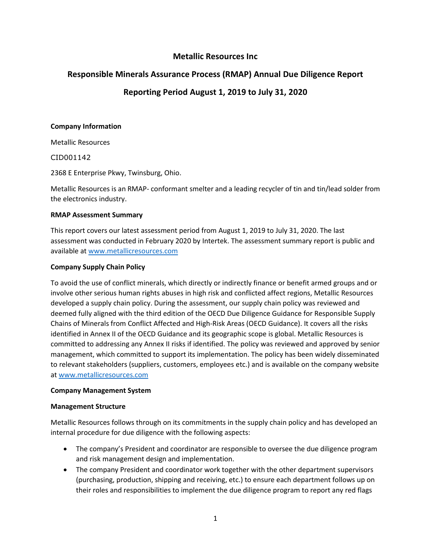# **Metallic Resources Inc**

# **Responsible Minerals Assurance Process (RMAP) Annual Due Diligence Report**

# **Reporting Period August 1, 2019 to July 31, 2020**

#### **Company Information**

Metallic Resources

CID001142

2368 E Enterprise Pkwy, Twinsburg, Ohio.

Metallic Resources is an RMAP- conformant smelter and a leading recycler of tin and tin/lead solder from the electronics industry.

#### **RMAP Assessment Summary**

This report covers our latest assessment period from August 1, 2019 to July 31, 2020. The last assessment was conducted in February 2020 by Intertek. The assessment summary report is public and available a[t www.metallicresources.com](http://www.metallicresources.com/)

#### **Company Supply Chain Policy**

To avoid the use of conflict minerals, which directly or indirectly finance or benefit armed groups and or involve other serious human rights abuses in high risk and conflicted affect regions, Metallic Resources developed a supply chain policy. During the assessment, our supply chain policy was reviewed and deemed fully aligned with the third edition of the OECD Due Diligence Guidance for Responsible Supply Chains of Minerals from Conflict Affected and High-Risk Areas (OECD Guidance). It covers all the risks identified in Annex II of the OECD Guidance and its geographic scope is global. Metallic Resources is committed to addressing any Annex II risks if identified. The policy was reviewed and approved by senior management, which committed to support its implementation. The policy has been widely disseminated to relevant stakeholders (suppliers, customers, employees etc.) and is available on the company website a[t www.metallicresources.com](http://www.metallicresources.com/)

#### **Company Management System**

#### **Management Structure**

Metallic Resources follows through on its commitments in the supply chain policy and has developed an internal procedure for due diligence with the following aspects:

- The company's President and coordinator are responsible to oversee the due diligence program and risk management design and implementation.
- The company President and coordinator work together with the other department supervisors (purchasing, production, shipping and receiving, etc.) to ensure each department follows up on their roles and responsibilities to implement the due diligence program to report any red flags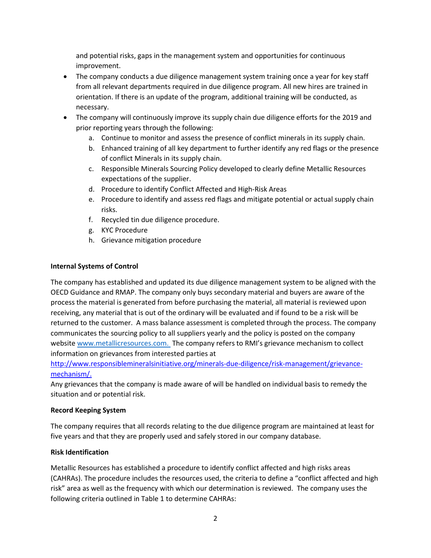and potential risks, gaps in the management system and opportunities for continuous improvement.

- The company conducts a due diligence management system training once a year for key staff from all relevant departments required in due diligence program. All new hires are trained in orientation. If there is an update of the program, additional training will be conducted, as necessary.
- The company will continuously improve its supply chain due diligence efforts for the 2019 and prior reporting years through the following:
	- a. Continue to monitor and assess the presence of conflict minerals in its supply chain.
	- b. Enhanced training of all key department to further identify any red flags or the presence of conflict Minerals in its supply chain.
	- c. Responsible Minerals Sourcing Policy developed to clearly define Metallic Resources expectations of the supplier.
	- d. Procedure to identify Conflict Affected and High-Risk Areas
	- e. Procedure to identify and assess red flags and mitigate potential or actual supply chain risks.
	- f. Recycled tin due diligence procedure.
	- g. KYC Procedure
	- h. Grievance mitigation procedure

#### **Internal Systems of Control**

The company has established and updated its due diligence management system to be aligned with the OECD Guidance and RMAP. The company only buys secondary material and buyers are aware of the process the material is generated from before purchasing the material, all material is reviewed upon receiving, any material that is out of the ordinary will be evaluated and if found to be a risk will be returned to the customer. A mass balance assessment is completed through the process. The company communicates the sourcing policy to all suppliers yearly and the policy is posted on the company websit[e www.metallicresources.com.](http://www.metallicresources.com/) The company refers to RMI's grievance mechanism to collect information on grievances from interested parties at

[http://www.responsiblemineralsinitiative.org/minerals-due-diligence/risk-management/grievance](http://www.responsiblemineralsinitiative.org/minerals-due-diligence/risk-management/grievance-mechanism/)[mechanism/.](http://www.responsiblemineralsinitiative.org/minerals-due-diligence/risk-management/grievance-mechanism/)

Any grievances that the company is made aware of will be handled on individual basis to remedy the situation and or potential risk.

#### **Record Keeping System**

The company requires that all records relating to the due diligence program are maintained at least for five years and that they are properly used and safely stored in our company database.

#### **Risk Identification**

Metallic Resources has established a procedure to identify conflict affected and high risks areas (CAHRAs). The procedure includes the resources used, the criteria to define a "conflict affected and high risk" area as well as the frequency with which our determination is reviewed. The company uses the following criteria outlined in Table 1 to determine CAHRAs: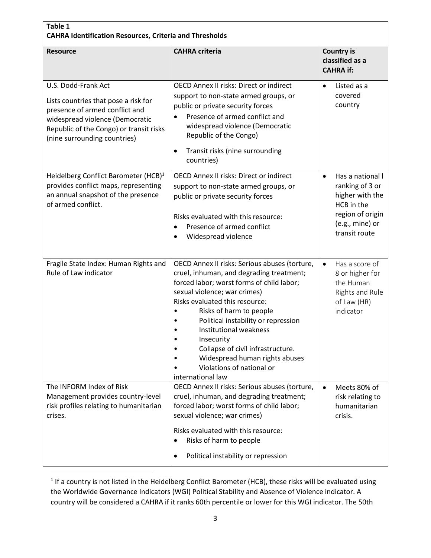| Table 1<br><b>CAHRA Identification Resources, Criteria and Thresholds</b>                                                                                                                                   |                                                                                                                                                                                                                                                                                                                                                                                                                                                    |                                                                                                                                           |  |
|-------------------------------------------------------------------------------------------------------------------------------------------------------------------------------------------------------------|----------------------------------------------------------------------------------------------------------------------------------------------------------------------------------------------------------------------------------------------------------------------------------------------------------------------------------------------------------------------------------------------------------------------------------------------------|-------------------------------------------------------------------------------------------------------------------------------------------|--|
| <b>Resource</b>                                                                                                                                                                                             | <b>CAHRA</b> criteria                                                                                                                                                                                                                                                                                                                                                                                                                              | <b>Country is</b><br>classified as a<br><b>CAHRA if:</b>                                                                                  |  |
| U.S. Dodd-Frank Act<br>Lists countries that pose a risk for<br>presence of armed conflict and<br>widespread violence (Democratic<br>Republic of the Congo) or transit risks<br>(nine surrounding countries) | <b>OECD Annex II risks: Direct or indirect</b><br>support to non-state armed groups, or<br>public or private security forces<br>Presence of armed conflict and<br>widespread violence (Democratic<br>Republic of the Congo)<br>Transit risks (nine surrounding<br>$\bullet$<br>countries)                                                                                                                                                          | Listed as a<br>$\bullet$<br>covered<br>country                                                                                            |  |
| Heidelberg Conflict Barometer (HCB) <sup>1</sup><br>provides conflict maps, representing<br>an annual snapshot of the presence<br>of armed conflict.                                                        | <b>OECD Annex II risks: Direct or indirect</b><br>support to non-state armed groups, or<br>public or private security forces<br>Risks evaluated with this resource:<br>Presence of armed conflict<br>Widespread violence                                                                                                                                                                                                                           | Has a national I<br>$\bullet$<br>ranking of 3 or<br>higher with the<br>HCB in the<br>region of origin<br>(e.g., mine) or<br>transit route |  |
| Fragile State Index: Human Rights and<br>Rule of Law indicator                                                                                                                                              | OECD Annex II risks: Serious abuses (torture,<br>cruel, inhuman, and degrading treatment;<br>forced labor; worst forms of child labor;<br>sexual violence; war crimes)<br>Risks evaluated this resource:<br>Risks of harm to people<br>Political instability or repression<br><b>Institutional weakness</b><br>Insecurity<br>Collapse of civil infrastructure.<br>Widespread human rights abuses<br>Violations of national or<br>international law | $\bullet$<br>Has a score of<br>8 or higher for<br>the Human<br>Rights and Rule<br>of Law (HR)<br>indicator                                |  |
| The INFORM Index of Risk<br>Management provides country-level<br>risk profiles relating to humanitarian<br>crises.                                                                                          | OECD Annex II risks: Serious abuses (torture,<br>cruel, inhuman, and degrading treatment;<br>forced labor; worst forms of child labor;<br>sexual violence; war crimes)<br>Risks evaluated with this resource:<br>Risks of harm to people<br>$\bullet$<br>Political instability or repression                                                                                                                                                       | Meets 80% of<br>risk relating to<br>humanitarian<br>crisis.                                                                               |  |

 $<sup>1</sup>$  If a country is not listed in the Heidelberg Conflict Barometer (HCB), these risks will be evaluated using</sup> the Worldwide Governance Indicators (WGI) Political Stability and Absence of Violence indicator. A country will be considered a CAHRA if it ranks 60th percentile or lower for this WGI indicator. The 50th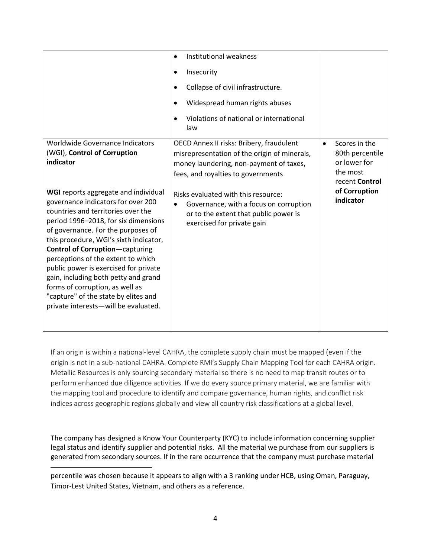|                                                                                                                                                                                                                                                                                                                                                                                                                                                                                                                                                                                                              | Institutional weakness<br>$\bullet$<br>Insecurity<br>Collapse of civil infrastructure.<br>Widespread human rights abuses<br>Violations of national or international<br>law                                                                                                                                                        |                                                                                                                           |
|--------------------------------------------------------------------------------------------------------------------------------------------------------------------------------------------------------------------------------------------------------------------------------------------------------------------------------------------------------------------------------------------------------------------------------------------------------------------------------------------------------------------------------------------------------------------------------------------------------------|-----------------------------------------------------------------------------------------------------------------------------------------------------------------------------------------------------------------------------------------------------------------------------------------------------------------------------------|---------------------------------------------------------------------------------------------------------------------------|
| Worldwide Governance Indicators<br>(WGI), Control of Corruption<br>indicator<br>WGI reports aggregate and individual<br>governance indicators for over 200<br>countries and territories over the<br>period 1996-2018, for six dimensions<br>of governance. For the purposes of<br>this procedure, WGI's sixth indicator,<br><b>Control of Corruption-capturing</b><br>perceptions of the extent to which<br>public power is exercised for private<br>gain, including both petty and grand<br>forms of corruption, as well as<br>"capture" of the state by elites and<br>private interests-will be evaluated. | OECD Annex II risks: Bribery, fraudulent<br>misrepresentation of the origin of minerals,<br>money laundering, non-payment of taxes,<br>fees, and royalties to governments<br>Risks evaluated with this resource:<br>Governance, with a focus on corruption<br>or to the extent that public power is<br>exercised for private gain | Scores in the<br>$\bullet$<br>80th percentile<br>or lower for<br>the most<br>recent Control<br>of Corruption<br>indicator |

If an origin is within a national-level CAHRA, the complete supply chain must be mapped (even if the origin is not in a sub-national CAHRA. Complete RMI's Supply Chain Mapping Tool for each CAHRA origin. Metallic Resources is only sourcing secondary material so there is no need to map transit routes or to perform enhanced due diligence activities. If we do every source primary material, we are familiar with the mapping tool and procedure to identify and compare governance, human rights, and conflict risk indices across geographic regions globally and view all country risk classifications at a global level.

The company has designed a Know Your Counterparty (KYC) to include information concerning supplier legal status and identify supplier and potential risks. All the material we purchase from our suppliers is generated from secondary sources. If in the rare occurrence that the company must purchase material

percentile was chosen because it appears to align with a 3 ranking under HCB, using Oman, Paraguay, Timor-Lest United States, Vietnam, and others as a reference.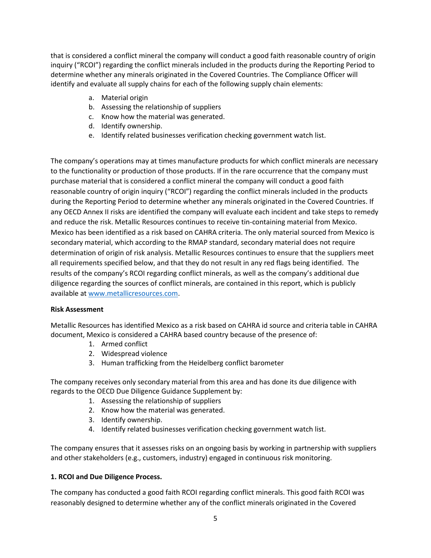that is considered a conflict mineral the company will conduct a good faith reasonable country of origin inquiry ("RCOI") regarding the conflict minerals included in the products during the Reporting Period to determine whether any minerals originated in the Covered Countries. The Compliance Officer will identify and evaluate all supply chains for each of the following supply chain elements:

- a. Material origin
- b. Assessing the relationship of suppliers
- c. Know how the material was generated.
- d. Identify ownership.
- e. Identify related businesses verification checking government watch list.

The company's operations may at times manufacture products for which conflict minerals are necessary to the functionality or production of those products. If in the rare occurrence that the company must purchase material that is considered a conflict mineral the company will conduct a good faith reasonable country of origin inquiry ("RCOI") regarding the conflict minerals included in the products during the Reporting Period to determine whether any minerals originated in the Covered Countries. If any OECD Annex II risks are identified the company will evaluate each incident and take steps to remedy and reduce the risk. Metallic Resources continues to receive tin-containing material from Mexico. Mexico has been identified as a risk based on CAHRA criteria. The only material sourced from Mexico is secondary material, which according to the RMAP standard, secondary material does not require determination of origin of risk analysis. Metallic Resources continues to ensure that the suppliers meet all requirements specified below, and that they do not result in any red flags being identified. The results of the company's RCOI regarding conflict minerals, as well as the company's additional due diligence regarding the sources of conflict minerals, are contained in this report, which is publicly available a[t www.metallicresources.com.](http://www.metallicresources.com/)

#### **Risk Assessment**

Metallic Resources has identified Mexico as a risk based on CAHRA id source and criteria table in CAHRA document, Mexico is considered a CAHRA based country because of the presence of:

- 1. Armed conflict
- 2. Widespread violence
- 3. Human trafficking from the Heidelberg conflict barometer

The company receives only secondary material from this area and has done its due diligence with regards to the OECD Due Diligence Guidance Supplement by:

- 1. Assessing the relationship of suppliers
- 2. Know how the material was generated.
- 3. Identify ownership.
- 4. Identify related businesses verification checking government watch list.

The company ensures that it assesses risks on an ongoing basis by working in partnership with suppliers and other stakeholders (e.g., customers, industry) engaged in continuous risk monitoring.

## **1. RCOI and Due Diligence Process.**

The company has conducted a good faith RCOI regarding conflict minerals. This good faith RCOI was reasonably designed to determine whether any of the conflict minerals originated in the Covered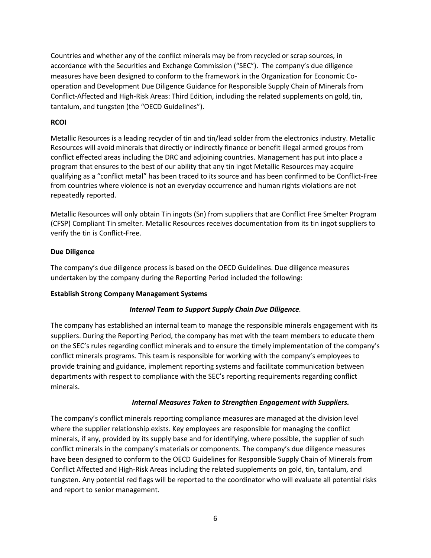Countries and whether any of the conflict minerals may be from recycled or scrap sources, in accordance with the Securities and Exchange Commission ("SEC"). The company's due diligence measures have been designed to conform to the framework in the Organization for Economic Cooperation and Development Due Diligence Guidance for Responsible Supply Chain of Minerals from Conflict-Affected and High-Risk Areas: Third Edition, including the related supplements on gold, tin, tantalum, and tungsten (the "OECD Guidelines").

#### **RCOI**

Metallic Resources is a leading recycler of tin and tin/lead solder from the electronics industry. Metallic Resources will avoid minerals that directly or indirectly finance or benefit illegal armed groups from conflict effected areas including the DRC and adjoining countries. Management has put into place a program that ensures to the best of our ability that any tin ingot Metallic Resources may acquire qualifying as a "conflict metal" has been traced to its source and has been confirmed to be Conflict-Free from countries where violence is not an everyday occurrence and human rights violations are not repeatedly reported.

Metallic Resources will only obtain Tin ingots (Sn) from suppliers that are Conflict Free Smelter Program (CFSP) Compliant Tin smelter. Metallic Resources receives documentation from its tin ingot suppliers to verify the tin is Conflict-Free.

### **Due Diligence**

The company's due diligence process is based on the OECD Guidelines. Due diligence measures undertaken by the company during the Reporting Period included the following:

#### **Establish Strong Company Management Systems**

#### *Internal Team to Support Supply Chain Due Diligence.*

The company has established an internal team to manage the responsible minerals engagement with its suppliers. During the Reporting Period, the company has met with the team members to educate them on the SEC's rules regarding conflict minerals and to ensure the timely implementation of the company's conflict minerals programs. This team is responsible for working with the company's employees to provide training and guidance, implement reporting systems and facilitate communication between departments with respect to compliance with the SEC's reporting requirements regarding conflict minerals.

#### *Internal Measures Taken to Strengthen Engagement with Suppliers.*

The company's conflict minerals reporting compliance measures are managed at the division level where the supplier relationship exists. Key employees are responsible for managing the conflict minerals, if any, provided by its supply base and for identifying, where possible, the supplier of such conflict minerals in the company's materials or components. The company's due diligence measures have been designed to conform to the OECD Guidelines for Responsible Supply Chain of Minerals from Conflict Affected and High-Risk Areas including the related supplements on gold, tin, tantalum, and tungsten. Any potential red flags will be reported to the coordinator who will evaluate all potential risks and report to senior management.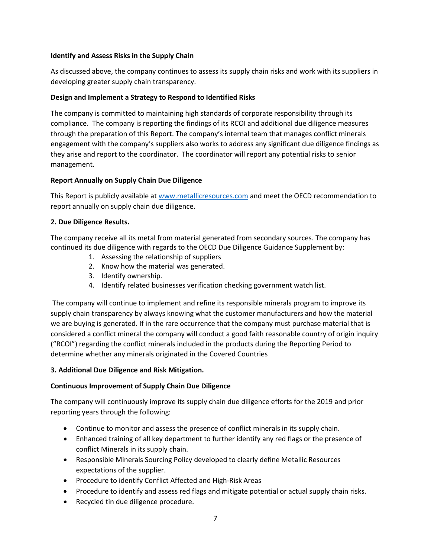### **Identify and Assess Risks in the Supply Chain**

As discussed above, the company continues to assess its supply chain risks and work with its suppliers in developing greater supply chain transparency.

### **Design and Implement a Strategy to Respond to Identified Risks**

The company is committed to maintaining high standards of corporate responsibility through its compliance. The company is reporting the findings of its RCOI and additional due diligence measures through the preparation of this Report. The company's internal team that manages conflict minerals engagement with the company's suppliers also works to address any significant due diligence findings as they arise and report to the coordinator. The coordinator will report any potential risks to senior management.

### **Report Annually on Supply Chain Due Diligence**

This Report is publicly available at [www.metallicresources.com](http://www.metallicresources.com/) and meet the OECD recommendation to report annually on supply chain due diligence.

### **2. Due Diligence Results.**

The company receive all its metal from material generated from secondary sources. The company has continued its due diligence with regards to the OECD Due Diligence Guidance Supplement by:

- 1. Assessing the relationship of suppliers
- 2. Know how the material was generated.
- 3. Identify ownership.
- 4. Identify related businesses verification checking government watch list.

The company will continue to implement and refine its responsible minerals program to improve its supply chain transparency by always knowing what the customer manufacturers and how the material we are buying is generated. If in the rare occurrence that the company must purchase material that is considered a conflict mineral the company will conduct a good faith reasonable country of origin inquiry ("RCOI") regarding the conflict minerals included in the products during the Reporting Period to determine whether any minerals originated in the Covered Countries

#### **3. Additional Due Diligence and Risk Mitigation.**

## **Continuous Improvement of Supply Chain Due Diligence**

The company will continuously improve its supply chain due diligence efforts for the 2019 and prior reporting years through the following:

- Continue to monitor and assess the presence of conflict minerals in its supply chain.
- Enhanced training of all key department to further identify any red flags or the presence of conflict Minerals in its supply chain.
- Responsible Minerals Sourcing Policy developed to clearly define Metallic Resources expectations of the supplier.
- Procedure to identify Conflict Affected and High-Risk Areas
- Procedure to identify and assess red flags and mitigate potential or actual supply chain risks.
- Recycled tin due diligence procedure.